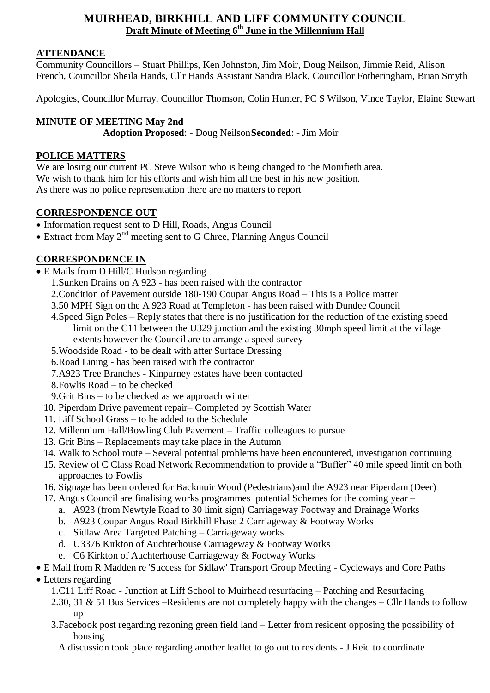# **MUIRHEAD, BIRKHILL AND LIFF COMMUNITY COUNCIL Draft Minute of Meeting 6 th June in the Millennium Hall**

#### **ATTENDANCE**

Community Councillors – Stuart Phillips, Ken Johnston, Jim Moir, Doug Neilson, Jimmie Reid, Alison French, Councillor Sheila Hands, Cllr Hands Assistant Sandra Black, Councillor Fotheringham, Brian Smyth

Apologies, Councillor Murray, Councillor Thomson, Colin Hunter, PC S Wilson, Vince Taylor, Elaine Stewart

#### **MINUTE OF MEETING May 2nd**

**Adoption Proposed**: - Doug Neilson**Seconded**: - Jim Moir

#### **POLICE MATTERS**

We are losing our current PC Steve Wilson who is being changed to the Monifieth area. We wish to thank him for his efforts and wish him all the best in his new position. As there was no police representation there are no matters to report

#### **CORRESPONDENCE OUT**

- Information request sent to D Hill, Roads, Angus Council
- $\bullet$  Extract from May 2<sup>nd</sup> meeting sent to G Chree, Planning Angus Council

## **CORRESPONDENCE IN**

- E Mails from D Hill/C Hudson regarding
	- 1.Sunken Drains on A 923 has been raised with the contractor
	- 2.Condition of Pavement outside 180-190 Coupar Angus Road This is a Police matter
	- 3.50 MPH Sign on the A 923 Road at Templeton has been raised with Dundee Council
	- 4.Speed Sign Poles Reply states that there is no justification for the reduction of the existing speed limit on the C11 between the U329 junction and the existing 30mph speed limit at the village extents however the Council are to arrange a speed survey
	- 5.Woodside Road to be dealt with after Surface Dressing
	- 6.Road Lining has been raised with the contractor
	- 7.A923 Tree Branches Kinpurney estates have been contacted
	- 8.Fowlis Road to be checked
	- 9.Grit Bins to be checked as we approach winter
	- 10. Piperdam Drive pavement repair– Completed by Scottish Water
	- 11. Liff School Grass to be added to the Schedule
	- 12. Millennium Hall/Bowling Club Pavement Traffic colleagues to pursue
	- 13. Grit Bins Replacements may take place in the Autumn
	- 14. Walk to School route Several potential problems have been encountered, investigation continuing
	- 15. Review of C Class Road Network Recommendation to provide a "Buffer" 40 mile speed limit on both approaches to Fowlis
	- 16. Signage has been ordered for Backmuir Wood (Pedestrians)and the A923 near Piperdam (Deer)
	- 17. Angus Council are finalising works programmes potential Schemes for the coming year
		- a. A923 (from Newtyle Road to 30 limit sign) Carriageway Footway and Drainage Works
		- b. A923 Coupar Angus Road Birkhill Phase 2 Carriageway & Footway Works
		- c. Sidlaw Area Targeted Patching Carriageway works
		- d. U3376 Kirkton of Auchterhouse Carriageway & Footway Works
		- e. C6 Kirkton of Auchterhouse Carriageway & Footway Works

# E Mail from R Madden re 'Success for Sidlaw' Transport Group Meeting - Cycleways and Core Paths

- Letters regarding
	- 1.C11 Liff Road Junction at Liff School to Muirhead resurfacing Patching and Resurfacing
	- 2.30, 31 & 51 Bus Services –Residents are not completely happy with the changes Cllr Hands to follow up
	- 3.Facebook post regarding rezoning green field land Letter from resident opposing the possibility of housing
		- A discussion took place regarding another leaflet to go out to residents J Reid to coordinate